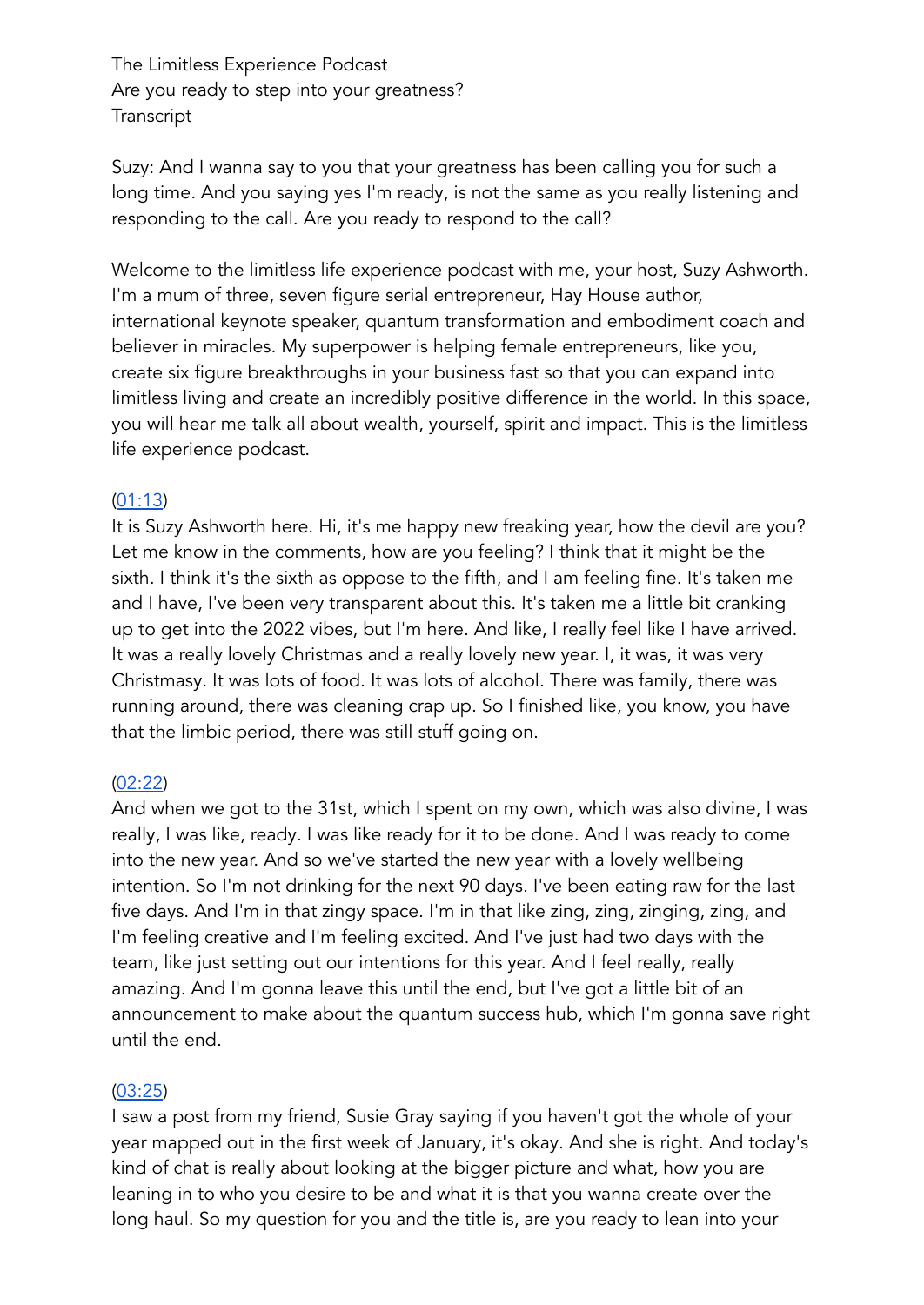The Limitless Experience Podcast Are you ready to step into your greatness? **Transcript** 

Suzy: And I wanna say to you that your greatness has been calling you for such a long time. And you saying yes I'm ready, is not the same as you really listening and responding to the call. Are you ready to respond to the call?

Welcome to the limitless life experience podcast with me, your host, Suzy Ashworth. I'm a mum of three, seven figure serial entrepreneur, Hay House author, international keynote speaker, quantum transformation and embodiment coach and believer in miracles. My superpower is helping female entrepreneurs, like you, create six figure breakthroughs in your business fast so that you can expand into limitless living and create an incredibly positive difference in the world. In this space, you will hear me talk all about wealth, yourself, spirit and impact. This is the limitless life experience podcast.

### [\(01:13](https://www.rev.com/transcript-editor/shared/x8I_dmF7Vkc3ZPAFcoIhn5L5c7NmeB7UO-lYB8t7pjpVfQowK1f8Gqbq4nHq2hZzMnSAsOQFzuXlap8Fh4fOOr2GpKQ?loadFrom=PastedDeeplink&ts=73.76))

It is Suzy Ashworth here. Hi, it's me happy new freaking year, how the devil are you? Let me know in the comments, how are you feeling? I think that it might be the sixth. I think it's the sixth as oppose to the fifth, and I am feeling fine. It's taken me and I have, I've been very transparent about this. It's taken me a little bit cranking up to get into the 2022 vibes, but I'm here. And like, I really feel like I have arrived. It was a really lovely Christmas and a really lovely new year. I, it was, it was very Christmasy. It was lots of food. It was lots of alcohol. There was family, there was running around, there was cleaning crap up. So I finished like, you know, you have that the limbic period, there was still stuff going on.

# [\(02:22](https://www.rev.com/transcript-editor/shared/x8I_dmF7Vkc3ZPAFcoIhn5L5c7NmeB7UO-lYB8t7pjpVfQowK1f8Gqbq4nHq2hZzMnSAsOQFzuXlap8Fh4fOOr2GpKQ?loadFrom=PastedDeeplink&ts=142.17))

And when we got to the 31st, which I spent on my own, which was also divine, I was really, I was like, ready. I was like ready for it to be done. And I was ready to come into the new year. And so we've started the new year with a lovely wellbeing intention. So I'm not drinking for the next 90 days. I've been eating raw for the last five days. And I'm in that zingy space. I'm in that like zing, zing, zinging, zing, and I'm feeling creative and I'm feeling excited. And I've just had two days with the team, like just setting out our intentions for this year. And I feel really, really amazing. And I'm gonna leave this until the end, but I've got a little bit of an announcement to make about the quantum success hub, which I'm gonna save right until the end.

# [\(03:25](https://www.rev.com/transcript-editor/shared/x8I_dmF7Vkc3ZPAFcoIhn5L5c7NmeB7UO-lYB8t7pjpVfQowK1f8Gqbq4nHq2hZzMnSAsOQFzuXlap8Fh4fOOr2GpKQ?loadFrom=PastedDeeplink&ts=205.95))

I saw a post from my friend, Susie Gray saying if you haven't got the whole of your year mapped out in the first week of January, it's okay. And she is right. And today's kind of chat is really about looking at the bigger picture and what, how you are leaning in to who you desire to be and what it is that you wanna create over the long haul. So my question for you and the title is, are you ready to lean into your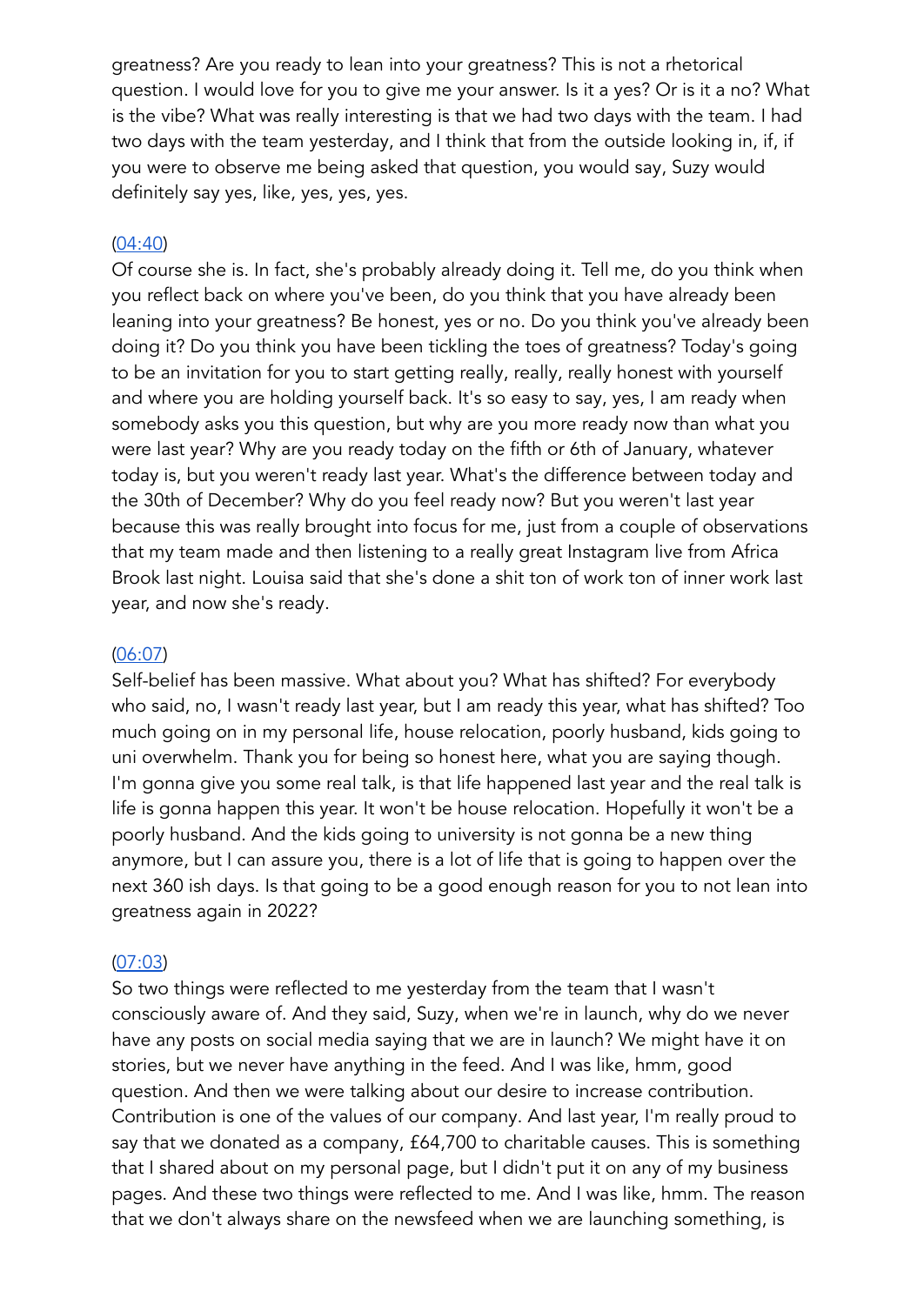greatness? Are you ready to lean into your greatness? This is not a rhetorical question. I would love for you to give me your answer. Is it a yes? Or is it a no? What is the vibe? What was really interesting is that we had two days with the team. I had two days with the team yesterday, and I think that from the outside looking in, if, if you were to observe me being asked that question, you would say, Suzy would definitely say yes, like, yes, yes, yes.

### [\(04:40](https://www.rev.com/transcript-editor/shared/x8I_dmF7Vkc3ZPAFcoIhn5L5c7NmeB7UO-lYB8t7pjpVfQowK1f8Gqbq4nHq2hZzMnSAsOQFzuXlap8Fh4fOOr2GpKQ?loadFrom=PastedDeeplink&ts=280.69))

Of course she is. In fact, she's probably already doing it. Tell me, do you think when you reflect back on where you've been, do you think that you have already been leaning into your greatness? Be honest, yes or no. Do you think you've already been doing it? Do you think you have been tickling the toes of greatness? Today's going to be an invitation for you to start getting really, really, really honest with yourself and where you are holding yourself back. It's so easy to say, yes, I am ready when somebody asks you this question, but why are you more ready now than what you were last year? Why are you ready today on the fifth or 6th of January, whatever today is, but you weren't ready last year. What's the difference between today and the 30th of December? Why do you feel ready now? But you weren't last year because this was really brought into focus for me, just from a couple of observations that my team made and then listening to a really great Instagram live from Africa Brook last night. Louisa said that she's done a shit ton of work ton of inner work last year, and now she's ready.

### [\(06:07](https://www.rev.com/transcript-editor/shared/x8I_dmF7Vkc3ZPAFcoIhn5L5c7NmeB7UO-lYB8t7pjpVfQowK1f8Gqbq4nHq2hZzMnSAsOQFzuXlap8Fh4fOOr2GpKQ?loadFrom=PastedDeeplink&ts=367.39))

Self-belief has been massive. What about you? What has shifted? For everybody who said, no, I wasn't ready last year, but I am ready this year, what has shifted? Too much going on in my personal life, house relocation, poorly husband, kids going to uni overwhelm. Thank you for being so honest here, what you are saying though. I'm gonna give you some real talk, is that life happened last year and the real talk is life is gonna happen this year. It won't be house relocation. Hopefully it won't be a poorly husband. And the kids going to university is not gonna be a new thing anymore, but I can assure you, there is a lot of life that is going to happen over the next 360 ish days. Is that going to be a good enough reason for you to not lean into greatness again in 2022?

### [\(07:03](https://www.rev.com/transcript-editor/shared/x8I_dmF7Vkc3ZPAFcoIhn5L5c7NmeB7UO-lYB8t7pjpVfQowK1f8Gqbq4nHq2hZzMnSAsOQFzuXlap8Fh4fOOr2GpKQ?loadFrom=PastedDeeplink&ts=423.15))

So two things were reflected to me yesterday from the team that I wasn't consciously aware of. And they said, Suzy, when we're in launch, why do we never have any posts on social media saying that we are in launch? We might have it on stories, but we never have anything in the feed. And I was like, hmm, good question. And then we were talking about our desire to increase contribution. Contribution is one of the values of our company. And last year, I'm really proud to say that we donated as a company, £64,700 to charitable causes. This is something that I shared about on my personal page, but I didn't put it on any of my business pages. And these two things were reflected to me. And I was like, hmm. The reason that we don't always share on the newsfeed when we are launching something, is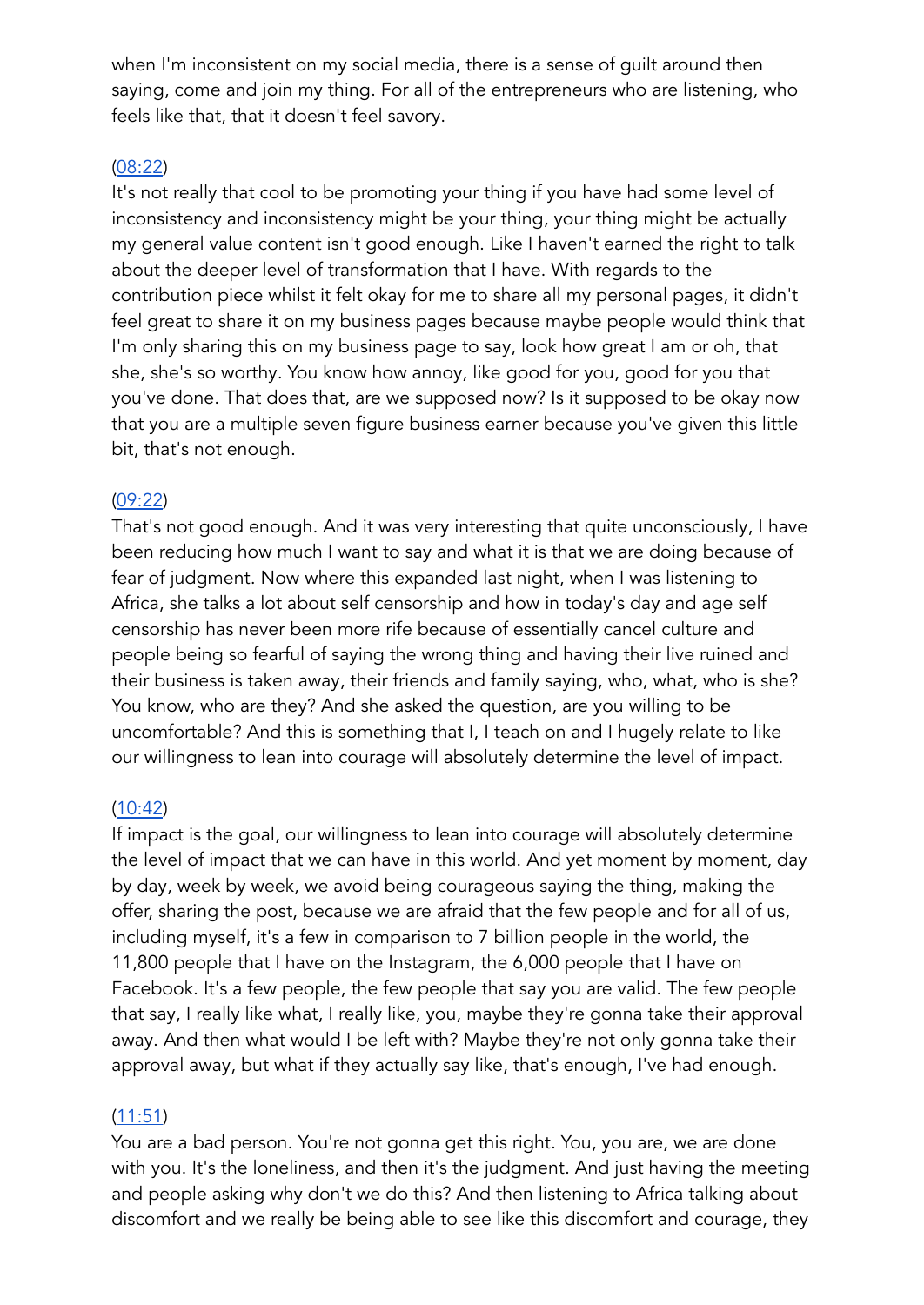when I'm inconsistent on my social media, there is a sense of guilt around then saying, come and join my thing. For all of the entrepreneurs who are listening, who feels like that, that it doesn't feel savory.

# [\(08:22](https://www.rev.com/transcript-editor/shared/x8I_dmF7Vkc3ZPAFcoIhn5L5c7NmeB7UO-lYB8t7pjpVfQowK1f8Gqbq4nHq2hZzMnSAsOQFzuXlap8Fh4fOOr2GpKQ?loadFrom=PastedDeeplink&ts=502.36))

It's not really that cool to be promoting your thing if you have had some level of inconsistency and inconsistency might be your thing, your thing might be actually my general value content isn't good enough. Like I haven't earned the right to talk about the deeper level of transformation that I have. With regards to the contribution piece whilst it felt okay for me to share all my personal pages, it didn't feel great to share it on my business pages because maybe people would think that I'm only sharing this on my business page to say, look how great I am or oh, that she, she's so worthy. You know how annoy, like good for you, good for you that you've done. That does that, are we supposed now? Is it supposed to be okay now that you are a multiple seven figure business earner because you've given this little bit, that's not enough.

# [\(09:22](https://www.rev.com/transcript-editor/shared/x8I_dmF7Vkc3ZPAFcoIhn5L5c7NmeB7UO-lYB8t7pjpVfQowK1f8Gqbq4nHq2hZzMnSAsOQFzuXlap8Fh4fOOr2GpKQ?loadFrom=PastedDeeplink&ts=562.53))

That's not good enough. And it was very interesting that quite unconsciously, I have been reducing how much I want to say and what it is that we are doing because of fear of judgment. Now where this expanded last night, when I was listening to Africa, she talks a lot about self censorship and how in today's day and age self censorship has never been more rife because of essentially cancel culture and people being so fearful of saying the wrong thing and having their live ruined and their business is taken away, their friends and family saying, who, what, who is she? You know, who are they? And she asked the question, are you willing to be uncomfortable? And this is something that I, I teach on and I hugely relate to like our willingness to lean into courage will absolutely determine the level of impact.

# [\(10:42](https://www.rev.com/transcript-editor/shared/x8I_dmF7Vkc3ZPAFcoIhn5L5c7NmeB7UO-lYB8t7pjpVfQowK1f8Gqbq4nHq2hZzMnSAsOQFzuXlap8Fh4fOOr2GpKQ?loadFrom=PastedDeeplink&ts=642.17))

If impact is the goal, our willingness to lean into courage will absolutely determine the level of impact that we can have in this world. And yet moment by moment, day by day, week by week, we avoid being courageous saying the thing, making the offer, sharing the post, because we are afraid that the few people and for all of us, including myself, it's a few in comparison to 7 billion people in the world, the 11,800 people that I have on the Instagram, the 6,000 people that I have on Facebook. It's a few people, the few people that say you are valid. The few people that say, I really like what, I really like, you, maybe they're gonna take their approval away. And then what would I be left with? Maybe they're not only gonna take their approval away, but what if they actually say like, that's enough, I've had enough.

# [\(11:51](https://www.rev.com/transcript-editor/shared/x8I_dmF7Vkc3ZPAFcoIhn5L5c7NmeB7UO-lYB8t7pjpVfQowK1f8Gqbq4nHq2hZzMnSAsOQFzuXlap8Fh4fOOr2GpKQ?loadFrom=PastedDeeplink&ts=711.9))

You are a bad person. You're not gonna get this right. You, you are, we are done with you. It's the loneliness, and then it's the judgment. And just having the meeting and people asking why don't we do this? And then listening to Africa talking about discomfort and we really be being able to see like this discomfort and courage, they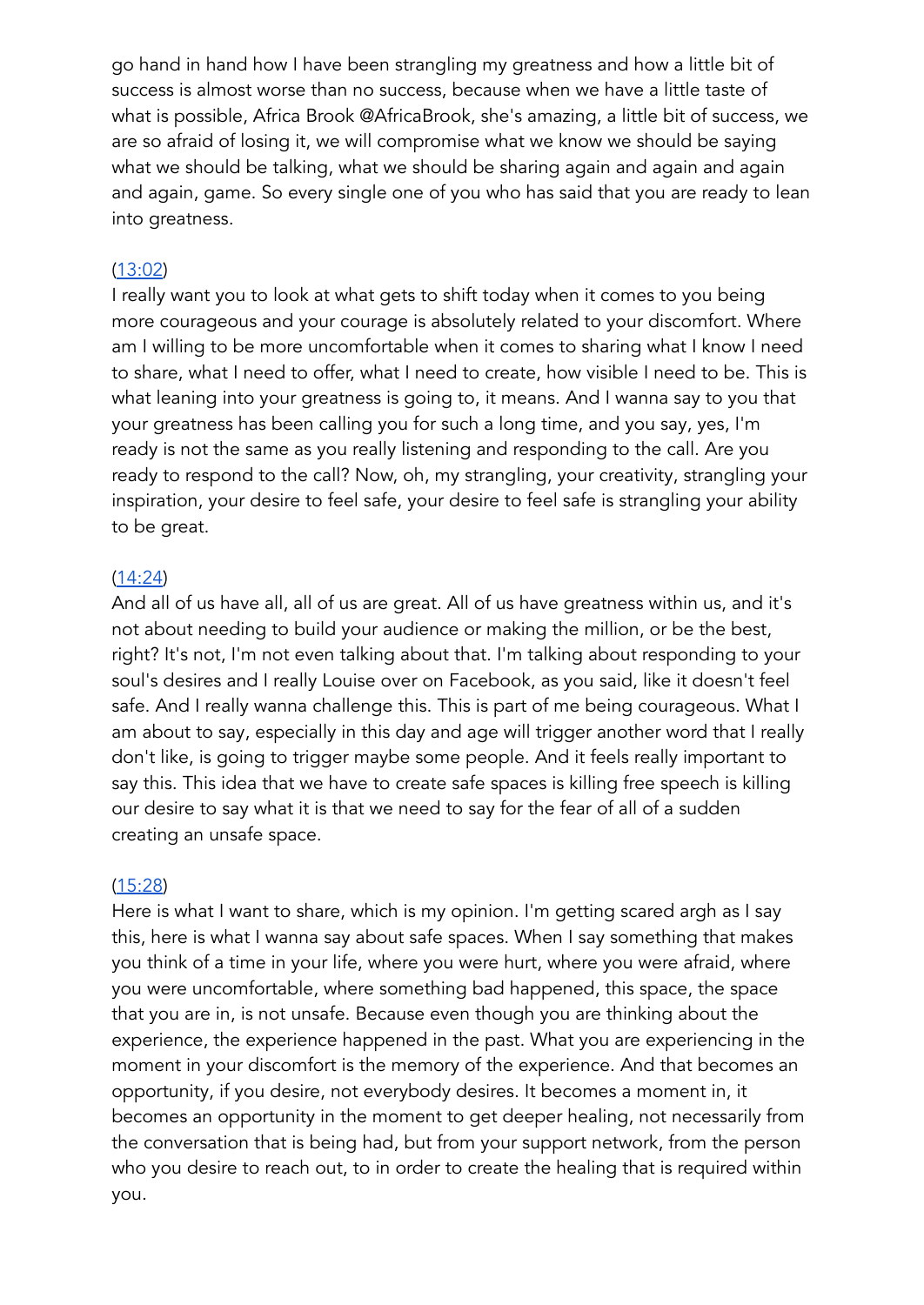go hand in hand how I have been strangling my greatness and how a little bit of success is almost worse than no success, because when we have a little taste of what is possible, Africa Brook @AfricaBrook, she's amazing, a little bit of success, we are so afraid of losing it, we will compromise what we know we should be saying what we should be talking, what we should be sharing again and again and again and again, game. So every single one of you who has said that you are ready to lean into greatness.

### [\(13:02](https://www.rev.com/transcript-editor/shared/x8I_dmF7Vkc3ZPAFcoIhn5L5c7NmeB7UO-lYB8t7pjpVfQowK1f8Gqbq4nHq2hZzMnSAsOQFzuXlap8Fh4fOOr2GpKQ?loadFrom=PastedDeeplink&ts=782.17))

I really want you to look at what gets to shift today when it comes to you being more courageous and your courage is absolutely related to your discomfort. Where am I willing to be more uncomfortable when it comes to sharing what I know I need to share, what I need to offer, what I need to create, how visible I need to be. This is what leaning into your greatness is going to, it means. And I wanna say to you that your greatness has been calling you for such a long time, and you say, yes, I'm ready is not the same as you really listening and responding to the call. Are you ready to respond to the call? Now, oh, my strangling, your creativity, strangling your inspiration, your desire to feel safe, your desire to feel safe is strangling your ability to be great.

### [\(14:24](https://www.rev.com/transcript-editor/shared/x8I_dmF7Vkc3ZPAFcoIhn5L5c7NmeB7UO-lYB8t7pjpVfQowK1f8Gqbq4nHq2hZzMnSAsOQFzuXlap8Fh4fOOr2GpKQ?loadFrom=PastedDeeplink&ts=864.55))

And all of us have all, all of us are great. All of us have greatness within us, and it's not about needing to build your audience or making the million, or be the best, right? It's not, I'm not even talking about that. I'm talking about responding to your soul's desires and I really Louise over on Facebook, as you said, like it doesn't feel safe. And I really wanna challenge this. This is part of me being courageous. What I am about to say, especially in this day and age will trigger another word that I really don't like, is going to trigger maybe some people. And it feels really important to say this. This idea that we have to create safe spaces is killing free speech is killing our desire to say what it is that we need to say for the fear of all of a sudden creating an unsafe space.

### [\(15:28](https://www.rev.com/transcript-editor/shared/x8I_dmF7Vkc3ZPAFcoIhn5L5c7NmeB7UO-lYB8t7pjpVfQowK1f8Gqbq4nHq2hZzMnSAsOQFzuXlap8Fh4fOOr2GpKQ?loadFrom=PastedDeeplink&ts=928.42))

Here is what I want to share, which is my opinion. I'm getting scared argh as I say this, here is what I wanna say about safe spaces. When I say something that makes you think of a time in your life, where you were hurt, where you were afraid, where you were uncomfortable, where something bad happened, this space, the space that you are in, is not unsafe. Because even though you are thinking about the experience, the experience happened in the past. What you are experiencing in the moment in your discomfort is the memory of the experience. And that becomes an opportunity, if you desire, not everybody desires. It becomes a moment in, it becomes an opportunity in the moment to get deeper healing, not necessarily from the conversation that is being had, but from your support network, from the person who you desire to reach out, to in order to create the healing that is required within you.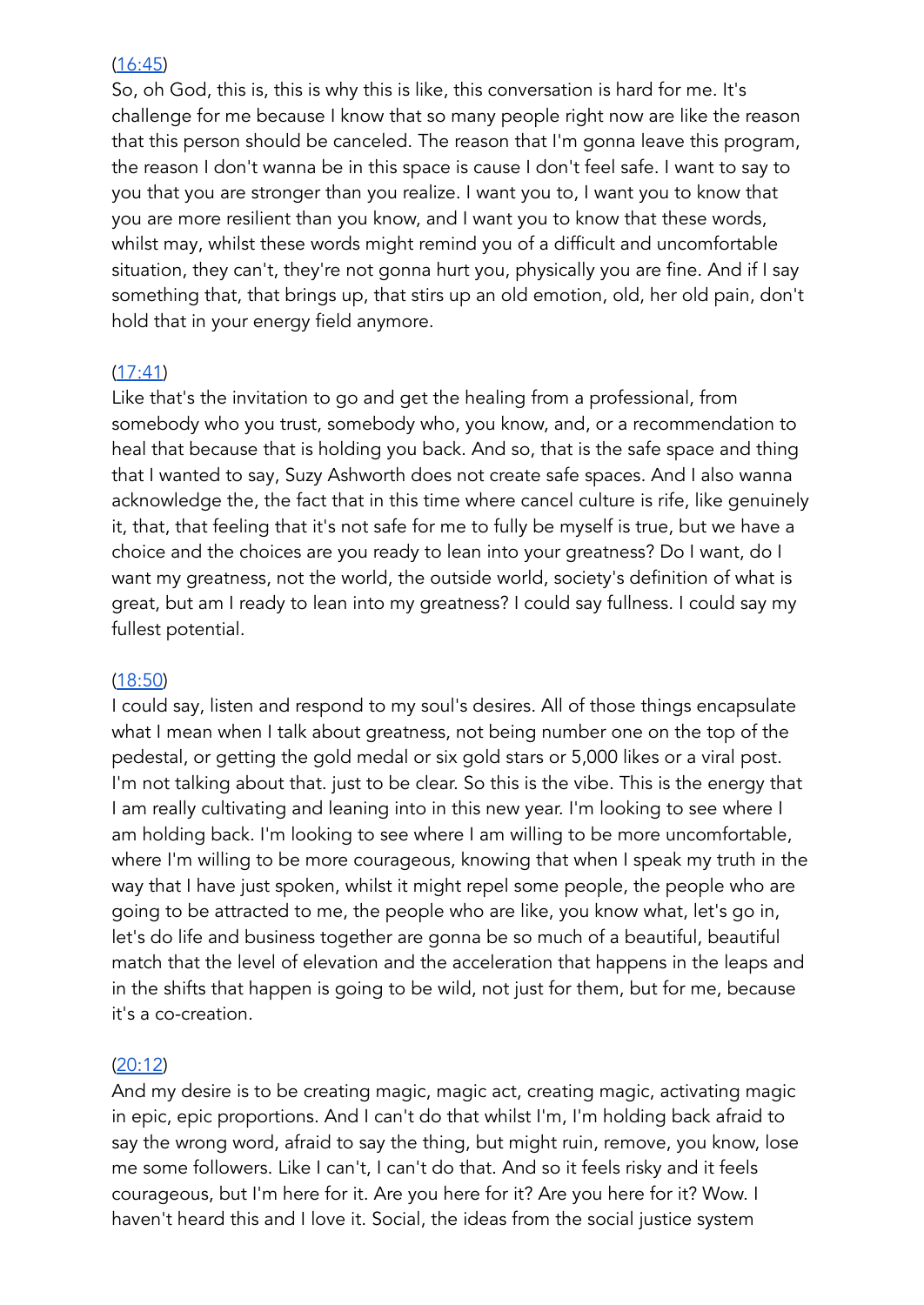### [\(16:45](https://www.rev.com/transcript-editor/shared/x8I_dmF7Vkc3ZPAFcoIhn5L5c7NmeB7UO-lYB8t7pjpVfQowK1f8Gqbq4nHq2hZzMnSAsOQFzuXlap8Fh4fOOr2GpKQ?loadFrom=PastedDeeplink&ts=1005.56))

So, oh God, this is, this is why this is like, this conversation is hard for me. It's challenge for me because I know that so many people right now are like the reason that this person should be canceled. The reason that I'm gonna leave this program, the reason I don't wanna be in this space is cause I don't feel safe. I want to say to you that you are stronger than you realize. I want you to, I want you to know that you are more resilient than you know, and I want you to know that these words, whilst may, whilst these words might remind you of a difficult and uncomfortable situation, they can't, they're not gonna hurt you, physically you are fine. And if I say something that, that brings up, that stirs up an old emotion, old, her old pain, don't hold that in your energy field anymore.

### [\(17:41](https://www.rev.com/transcript-editor/shared/x8I_dmF7Vkc3ZPAFcoIhn5L5c7NmeB7UO-lYB8t7pjpVfQowK1f8Gqbq4nHq2hZzMnSAsOQFzuXlap8Fh4fOOr2GpKQ?loadFrom=PastedDeeplink&ts=1061.9))

Like that's the invitation to go and get the healing from a professional, from somebody who you trust, somebody who, you know, and, or a recommendation to heal that because that is holding you back. And so, that is the safe space and thing that I wanted to say, Suzy Ashworth does not create safe spaces. And I also wanna acknowledge the, the fact that in this time where cancel culture is rife, like genuinely it, that, that feeling that it's not safe for me to fully be myself is true, but we have a choice and the choices are you ready to lean into your greatness? Do I want, do I want my greatness, not the world, the outside world, society's definition of what is great, but am I ready to lean into my greatness? I could say fullness. I could say my fullest potential.

### [\(18:50](https://www.rev.com/transcript-editor/shared/x8I_dmF7Vkc3ZPAFcoIhn5L5c7NmeB7UO-lYB8t7pjpVfQowK1f8Gqbq4nHq2hZzMnSAsOQFzuXlap8Fh4fOOr2GpKQ?loadFrom=PastedDeeplink&ts=1130.41))

I could say, listen and respond to my soul's desires. All of those things encapsulate what I mean when I talk about greatness, not being number one on the top of the pedestal, or getting the gold medal or six gold stars or 5,000 likes or a viral post. I'm not talking about that. just to be clear. So this is the vibe. This is the energy that I am really cultivating and leaning into in this new year. I'm looking to see where I am holding back. I'm looking to see where I am willing to be more uncomfortable, where I'm willing to be more courageous, knowing that when I speak my truth in the way that I have just spoken, whilst it might repel some people, the people who are going to be attracted to me, the people who are like, you know what, let's go in, let's do life and business together are gonna be so much of a beautiful, beautiful match that the level of elevation and the acceleration that happens in the leaps and in the shifts that happen is going to be wild, not just for them, but for me, because it's a co-creation.

### [\(20:12](https://www.rev.com/transcript-editor/shared/x8I_dmF7Vkc3ZPAFcoIhn5L5c7NmeB7UO-lYB8t7pjpVfQowK1f8Gqbq4nHq2hZzMnSAsOQFzuXlap8Fh4fOOr2GpKQ?loadFrom=PastedDeeplink&ts=1212.35))

And my desire is to be creating magic, magic act, creating magic, activating magic in epic, epic proportions. And I can't do that whilst I'm, I'm holding back afraid to say the wrong word, afraid to say the thing, but might ruin, remove, you know, lose me some followers. Like I can't, I can't do that. And so it feels risky and it feels courageous, but I'm here for it. Are you here for it? Are you here for it? Wow. I haven't heard this and I love it. Social, the ideas from the social justice system